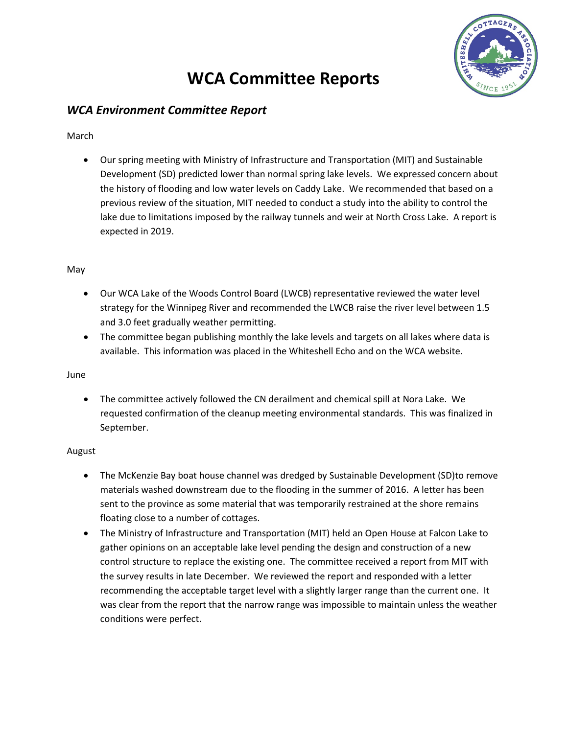# **WCA Committee Reports**



# *WCA Environment Committee Report*

March

• Our spring meeting with Ministry of Infrastructure and Transportation (MIT) and Sustainable Development (SD) predicted lower than normal spring lake levels. We expressed concern about the history of flooding and low water levels on Caddy Lake. We recommended that based on a previous review of the situation, MIT needed to conduct a study into the ability to control the lake due to limitations imposed by the railway tunnels and weir at North Cross Lake. A report is expected in 2019.

## May

- Our WCA Lake of the Woods Control Board (LWCB) representative reviewed the water level strategy for the Winnipeg River and recommended the LWCB raise the river level between 1.5 and 3.0 feet gradually weather permitting.
- The committee began publishing monthly the lake levels and targets on all lakes where data is available. This information was placed in the Whiteshell Echo and on the WCA website.

June

• The committee actively followed the CN derailment and chemical spill at Nora Lake. We requested confirmation of the cleanup meeting environmental standards. This was finalized in September.

## August

- The McKenzie Bay boat house channel was dredged by Sustainable Development (SD)to remove materials washed downstream due to the flooding in the summer of 2016. A letter has been sent to the province as some material that was temporarily restrained at the shore remains floating close to a number of cottages.
- The Ministry of Infrastructure and Transportation (MIT) held an Open House at Falcon Lake to gather opinions on an acceptable lake level pending the design and construction of a new control structure to replace the existing one. The committee received a report from MIT with the survey results in late December. We reviewed the report and responded with a letter recommending the acceptable target level with a slightly larger range than the current one. It was clear from the report that the narrow range was impossible to maintain unless the weather conditions were perfect.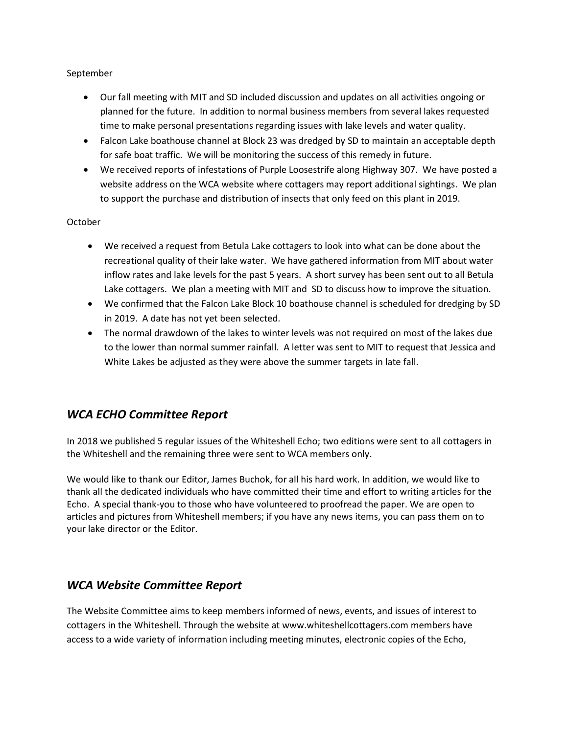#### September

- Our fall meeting with MIT and SD included discussion and updates on all activities ongoing or planned for the future. In addition to normal business members from several lakes requested time to make personal presentations regarding issues with lake levels and water quality.
- Falcon Lake boathouse channel at Block 23 was dredged by SD to maintain an acceptable depth for safe boat traffic. We will be monitoring the success of this remedy in future.
- We received reports of infestations of Purple Loosestrife along Highway 307. We have posted a website address on the WCA website where cottagers may report additional sightings. We plan to support the purchase and distribution of insects that only feed on this plant in 2019.

#### October

- We received a request from Betula Lake cottagers to look into what can be done about the recreational quality of their lake water. We have gathered information from MIT about water inflow rates and lake levels for the past 5 years. A short survey has been sent out to all Betula Lake cottagers. We plan a meeting with MIT and SD to discuss how to improve the situation.
- We confirmed that the Falcon Lake Block 10 boathouse channel is scheduled for dredging by SD in 2019. A date has not yet been selected.
- The normal drawdown of the lakes to winter levels was not required on most of the lakes due to the lower than normal summer rainfall. A letter was sent to MIT to request that Jessica and White Lakes be adjusted as they were above the summer targets in late fall.

# *WCA ECHO Committee Report*

In 2018 we published 5 regular issues of the Whiteshell Echo; two editions were sent to all cottagers in the Whiteshell and the remaining three were sent to WCA members only.

We would like to thank our Editor, James Buchok, for all his hard work. In addition, we would like to thank all the dedicated individuals who have committed their time and effort to writing articles for the Echo. A special thank-you to those who have volunteered to proofread the paper. We are open to articles and pictures from Whiteshell members; if you have any news items, you can pass them on to your lake director or the Editor.

## *WCA Website Committee Report*

The Website Committee aims to keep members informed of news, events, and issues of interest to cottagers in the Whiteshell. Through the website at www.whiteshellcottagers.com members have access to a wide variety of information including meeting minutes, electronic copies of the Echo,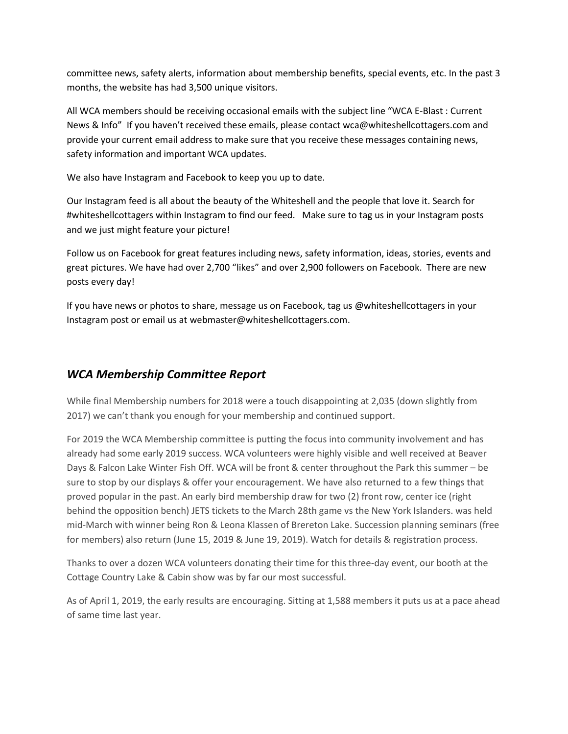committee news, safety alerts, information about membership benefits, special events, etc. In the past 3 months, the website has had 3,500 unique visitors.

All WCA members should be receiving occasional emails with the subject line "WCA E-Blast : Current News & Info" If you haven't received these emails, please contact wca@whiteshellcottagers.com and provide your current email address to make sure that you receive these messages containing news, safety information and important WCA updates.

We also have Instagram and Facebook to keep you up to date.

Our Instagram feed is all about the beauty of the Whiteshell and the people that love it. Search for #whiteshellcottagers within Instagram to find our feed. Make sure to tag us in your Instagram posts and we just might feature your picture!

Follow us on Facebook for great features including news, safety information, ideas, stories, events and great pictures. We have had over 2,700 "likes" and over 2,900 followers on Facebook. There are new posts every day!

If you have news or photos to share, message us on Facebook, tag us @whiteshellcottagers in your Instagram post or email us at webmaster@whiteshellcottagers.com.

## *WCA Membership Committee Report*

While final Membership numbers for 2018 were a touch disappointing at 2,035 (down slightly from 2017) we can't thank you enough for your membership and continued support.

For 2019 the WCA Membership committee is putting the focus into community involvement and has already had some early 2019 success. WCA volunteers were highly visible and well received at Beaver Days & Falcon Lake Winter Fish Off. WCA will be front & center throughout the Park this summer – be sure to stop by our displays & offer your encouragement. We have also returned to a few things that proved popular in the past. An early bird membership draw for two (2) front row, center ice (right behind the opposition bench) JETS tickets to the March 28th game vs the New York Islanders. was held mid-March with winner being Ron & Leona Klassen of Brereton Lake. Succession planning seminars (free for members) also return (June 15, 2019 & June 19, 2019). Watch for details & registration process.

Thanks to over a dozen WCA volunteers donating their time for this three-day event, our booth at the Cottage Country Lake & Cabin show was by far our most successful.

As of April 1, 2019, the early results are encouraging. Sitting at 1,588 members it puts us at a pace ahead of same time last year.